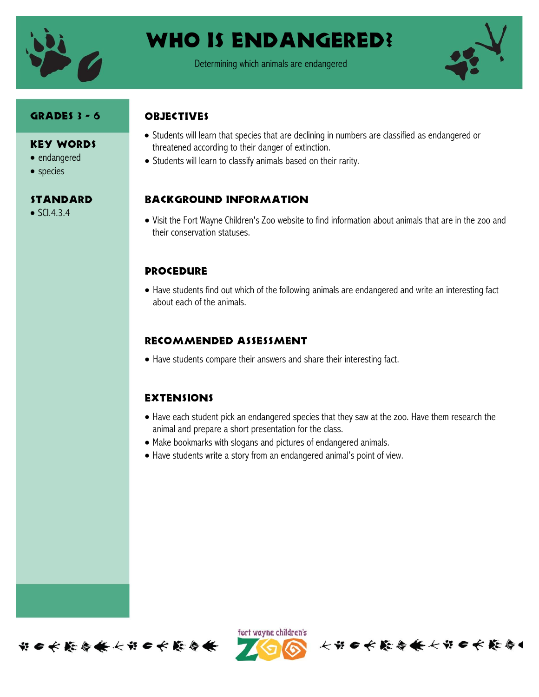

# WHO IS ENDANGERED?

Determining which animals are endangered



## Grades 3 - 6

### Key Words

- endangered
- species

### **STANDARD**

 $\bullet$  SCI.4.3.4

## **OBJECTIVES**

- Students will learn that species that are declining in numbers are classified as endangered or threatened according to their danger of extinction.
- Students will learn to classify animals based on their rarity.

## Background information

 Visit the Fort Wayne Children's Zoo website to find information about animals that are in the zoo and their conservation statuses.

### **PROCEDURE**

 Have students find out which of the following animals are endangered and write an interesting fact about each of the animals.

## Recommended assessment

Have students compare their answers and share their interesting fact.

### **EXTENSIONS**

 Have each student pick an endangered species that they saw at the zoo. Have them research the animal and prepare a short presentation for the class.

长节日长能与长长节日长能与

- Make bookmarks with slogans and pictures of endangered animals.
- Have students write a story from an endangered animal's point of view.